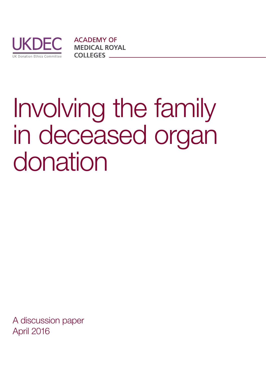

**ACADEMY OF MEDICAL ROYAL COLLEGES** 

# Involving the family in deceased organ donation

A discussion paper April 2016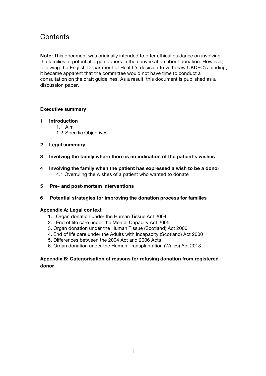# **Contents**

**Note:** This document was originally intended to offer ethical guidance on involving the families of potential organ donors in the conversation about donation. However, following the English Department of Health's decision to withdraw UKDEC's funding, it became apparent that the committee would not have time to conduct a consultation on the draft guidelines. As a result, this document is published as a discussion paper.

# **Executive summary**

- **1 Introduction**
	- 1.1 Aim
	- 1.2 Specific Objectives
- **2 Legal summary**
- **3 Involving the family where there is no indication of the patient's wishes**
- **4 Involving the family when the patient has expressed a wish to be a donor** 4.1 Overruling the wishes of a patient who wanted to donate
- **5 Pre- and post-mortem interventions**
- **6 Potential strategies for improving the donation process for families**

# **Appendix A: Legal context**

- 1. Organ donation under the Human Tissue Act 2004
- 2. End of life care under the Mental Capacity Act 2005
- 3. Organ donation under the Human Tissue (Scotland) Act 2006
- 4. End of life care under the Adults with Incapacity (Scotland) Act 2000
- 5. Differences between the 2004 Act and 2006 Acts
- 6. Organ donation under the Human Transplantation (Wales) Act 2013

# **Appendix B: Categorisation of reasons for refusing donation from registered donor**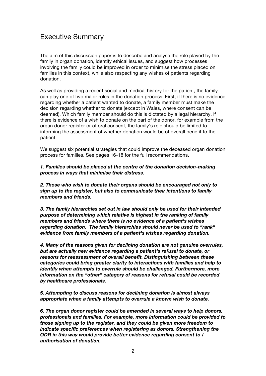# Executive Summary

The aim of this discussion paper is to describe and analyse the role played by the family in organ donation, identify ethical issues, and suggest how processes involving the family could be improved in order to minimise the stress placed on families in this context, while also respecting any wishes of patients regarding donation.

As well as providing a recent social and medical history for the patient, the family can play one of two major roles in the donation process. First, if there is no evidence regarding whether a patient wanted to donate, a family member must make the decision regarding whether to donate (except in Wales, where consent can be deemed). Which family member should do this is dictated by a legal hierarchy. If there is evidence of a wish to donate on the part of the donor, for example from the organ donor register or of oral consent, the family's role should be limited to informing the assessment of whether donation would be of overall benefit to the patient.

We suggest six potential strategies that could improve the deceased organ donation process for families. See pages 16-18 for the full recommendations.

*1. Families should be placed at the centre of the donation decision-making process in ways that minimise their distress.*

*2. Those who wish to donate their organs should be encouraged not only to sign up to the register, but also to communicate their intentions to family members and friends.*

*3. The family hierarchies set out in law should only be used for their intended purpose of determining which relative is highest in the ranking of family members and friends where there is no evidence of a patient's wishes regarding donation. The family hierarchies should never be used to "rank" evidence from family members of a patient's wishes regarding donation.*

*4. Many of the reasons given for declining donation are not genuine overrules, but are actually new evidence regarding a patient's refusal to donate, or reasons for reassessment of overall benefit. Distinguishing between these categories could bring greater clarity to interactions with families and help to identify when attempts to overrule should be challenged. Furthermore, more information on the "other" category of reasons for refusal could be recorded by healthcare professionals.*

*5. Attempting to discuss reasons for declining donation is almost always appropriate when a family attempts to overrule a known wish to donate.*

*6. The organ donor register could be amended in several ways to help donors, professionals and families. For example, more information could be provided to those signing up to the register, and they could be given more freedom to indicate specific preferences when registering as donors. Strengthening the ODR in this way would provide better evidence regarding consent to / authorisation of donation.*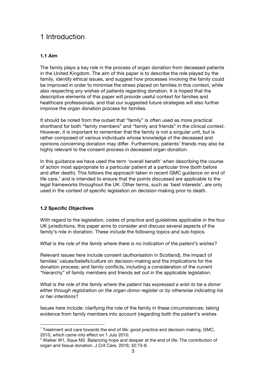# 1 Introduction

# **1.1 Aim**

The family plays a key role in the process of organ donation from deceased patients in the United Kingdom. The aim of this paper is to describe the role played by the family, identify ethical issues, and suggest how processes involving the family could be improved in order to minimise the stress placed on families in this context, while also respecting any wishes of patients regarding donation. It is hoped that the descriptive elements of this paper will provide useful context for families and healthcare professionals, and that our suggested future strategies will also further improve the organ donation process for families.

It should be noted from the outset that "family" is often used as more practical shorthand for both "family members" and "family and friends" in the clinical context. However, it is important to remember that the family is not a singular unit, but is rather composed of various individuals whose knowledge of the deceased and opinions concerning donation may differ. Furthermore, patients' friends may also be highly relevant to the consent process in deceased organ donation.

In this guidance we have used the term 'overall benefit' when describing the course of action most appropriate to a particular patient at a particular time (both before and after death). This follows the approach taken in recent GMC guidance on end of  $l$  life care,<sup>1</sup> and is intended to ensure that the points discussed are applicable to the legal frameworks throughout the UK. Other terms, such as 'best interests', are only used in the context of specific legislation on decision-making prior to death.

# **1.2 Specific Objectives**

 

With regard to the legislation, codes of practice and guidelines applicable in the four UK jurisdictions, this paper aims to consider and discuss several aspects of the family's role in donation. These include the following topics and sub-topics.

# *What is the role of the family where there is no indication of the patient's wishes*?

Relevant issues here include consent (authorisation in Scotland), the impact of families' values/beliefs/culture on decision-making and the implications for the donation process; and family conflicts, including a consideration of the current "hierarchy" of family members and friends set out in the applicable legislation.

*What is the role of the family where the patient has expressed a wish to be a donor either through registration on the organ donor register or by otherwise indicating his or her intentions*?

Issues here include: clarifying the role of the family in these circumstances; taking evidence from family members into account (regarding both the patient's wishes

<sup>&</sup>lt;sup>1</sup> Treatment and care towards the end of life: good practice and decision making, GMC, 2010, which came into effect on 1 July 2010.

 $2$  Walker W1, Sque M2. Balancing hope and despair at the end of life: The contribution of organ and tissue donation. J Crit Care. 2016; 32:73-8.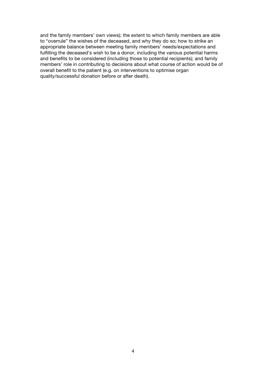and the family members' own views); the extent to which family members are able to "overrule" the wishes of the deceased, and why they do so; how to strike an appropriate balance between meeting family members' needs/expectations and fulfilling the deceased's wish to be a donor, including the various potential harms and benefits to be considered (including those to potential recipients); and family members' role in contributing to decisions about what course of action would be of overall benefit to the patient (e.g. on interventions to optimise organ quality/successful donation before or after death).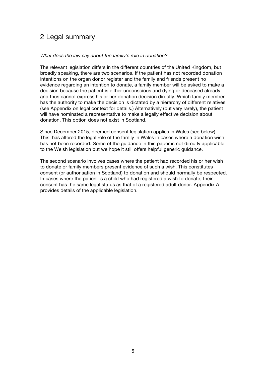# 2 Legal summary

#### *What does the law say about the family's role in donation?*

The relevant legislation differs in the different countries of the United Kingdom, but broadly speaking, there are two scenarios. If the patient has not recorded donation intentions on the organ donor register and the family and friends present no evidence regarding an intention to donate, a family member will be asked to make a decision because the patient is either unconscious and dying or deceased already and thus cannot express his or her donation decision directly. Which family member has the authority to make the decision is dictated by a hierarchy of different relatives (see Appendix on legal context for details.) Alternatively (but very rarely), the patient will have nominated a representative to make a legally effective decision about donation. This option does not exist in Scotland.

Since December 2015, deemed consent legislation applies in Wales (see below). This has altered the legal role of the family in Wales in cases where a donation wish has not been recorded. Some of the guidance in this paper is not directly applicable to the Welsh legislation but we hope it still offers helpful generic guidance.

The second scenario involves cases where the patient had recorded his or her wish to donate or family members present evidence of such a wish. This constitutes consent (or authorisation in Scotland) to donation and should normally be respected. In cases where the patient is a child who had registered a wish to donate, their consent has the same legal status as that of a registered adult donor. Appendix A provides details of the applicable legislation.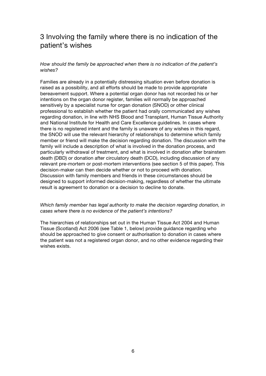# 3 Involving the family where there is no indication of the patient's wishes

# *How should the family be approached when there is no indication of the patient's wishes?*

Families are already in a potentially distressing situation even before donation is raised as a possibility, and all efforts should be made to provide appropriate bereavement support. Where a potential organ donor has not recorded his or her intentions on the organ donor register, families will normally be approached sensitively by a specialist nurse for organ donation (SNOD) or other clinical professional to establish whether the patient had orally communicated any wishes regarding donation, in line with NHS Blood and Transplant, Human Tissue Authority and National Institute for Health and Care Excellence guidelines. In cases where there is no registered intent and the family is unaware of any wishes in this regard, the SNOD will use the relevant hierarchy of relationships to determine which family member or friend will make the decision regarding donation. The discussion with the family will include a description of what is involved in the donation process, and particularly withdrawal of treatment, and what is involved in donation after brainstem death (DBD) or donation after circulatory death (DCD), including discussion of any relevant pre-mortem or post-mortem interventions (see section 5 of this paper). This decision-maker can then decide whether or not to proceed with donation. Discussion with family members and friends in these circumstances should be designed to support informed decision-making, regardless of whether the ultimate result is agreement to donation or a decision to decline to donate.

#### *Which family member has legal authority to make the decision regarding donation, in cases where there is no evidence of the patient's intentions?*

The hierarchies of relationships set out in the Human Tissue Act 2004 and Human Tissue (Scotland) Act 2006 (see Table 1, below) provide guidance regarding who should be approached to give consent or authorisation to donation in cases where the patient was not a registered organ donor, and no other evidence regarding their wishes exists.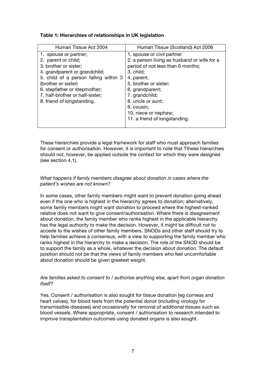|  |  | Table 1: Hierarchies of relationships in UK legislation |
|--|--|---------------------------------------------------------|
|  |  |                                                         |

| Human Tissue Act 2004                 | Human Tissue (Scotland) Act 2006            |  |  |
|---------------------------------------|---------------------------------------------|--|--|
| 1. spouse or partner;                 | 1. spouse or civil partner                  |  |  |
| 2. parent or child;                   | 2. a person living as husband or wife for a |  |  |
| 3. brother or sister;                 | period of not less than 6 months;           |  |  |
| 4. grandparent or grandchild;         | $3.$ child;                                 |  |  |
| 5. child of a person falling within 3 | 4. parent;                                  |  |  |
| (brother or sister)                   | 5. brother or sister;                       |  |  |
| 6. stepfather or stepmother;          | 6. grandparent;                             |  |  |
| 7. half-brother or half-sister;       | 7. grandchild;                              |  |  |
| 8. friend of longstanding.            | 8. uncle or aunt;                           |  |  |
|                                       | 9. cousin;                                  |  |  |
|                                       | 10. niece or nephew;                        |  |  |
|                                       | 11. a friend of longstanding.               |  |  |
|                                       |                                             |  |  |

These hierarchies provide a legal framework for staff who must approach families for consent or authorisation. However, it is important to note that Tthese hierarchies should not, however, be applied outside the context for which they were designed (see section 4.1).

# *What happens if family members disagree about donation in cases where the patient's wishes are not known?*

In some cases, other family members might want to prevent donation going ahead even if the one who is highest in the hierarchy agrees to donation; alternatively, some family members might want donation to proceed where the highest-ranked relative does not want to give consent/authorisation. Where there is disagreement about donation, the family member who ranks highest in the applicable hierarchy has the legal authority to make the decision. However, it might be difficult not to accede to the wishes of other family members. SNODs and other staff should try to help families achieve a consensus, with a view to supporting the family member who ranks highest in the hierarchy to make a decision. The role of the SNOD should be to support the family as a whole, whatever the decision about donation. The default position should not be that the views of family members who feel uncomfortable about donation should be given greatest weight.

# *Are families asked to consent to / authorise anything else, apart from organ donation itself?*

Yes. Consent / authorisation is also sought for tissue donation (eg corneas and heart valves), for blood tests from the potential donor (including virology for transmissible diseases) and occasionally for removal of additional tissues such as blood vessels. Where appropriate, consent / authorisation to research intended to improve transplantation outcomes using donated organs is also sought.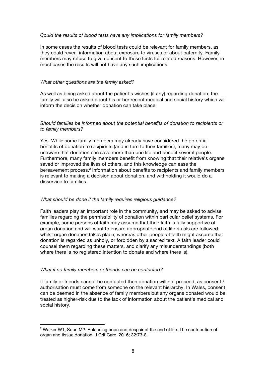#### *Could the results of blood tests have any implications for family members?*

In some cases the results of blood tests could be relevant for family members, as they could reveal information about exposure to viruses or about paternity. Family members may refuse to give consent to these tests for related reasons. However, in most cases the results will not have any such implications.

#### *What other questions are the family asked?*

As well as being asked about the patient's wishes (if any) regarding donation, the family will also be asked about his or her recent medical and social history which will inform the decision whether donation can take place.

# *Should families be informed about the potential benefits of donation to recipients or to family members?*

Yes. While some family members may already have considered the potential benefits of donation to recipients (and in turn to their families), many may be unaware that donation can save more than one life and benefit several people. Furthermore, many family members benefit from knowing that their relative's organs saved or improved the lives of others, and this knowledge can ease the bereavement process.2 Information about benefits to recipients and family members is relevant to making a decision about donation, and withholding it would do a disservice to families.

# *What should be done if the family requires religious guidance?*

Faith leaders play an important role in the community, and may be asked to advise families regarding the permissibility of donation within particular belief systems. For example, some persons of faith may assume that their faith is fully supportive of organ donation and will want to ensure appropriate end of life rituals are followed whilst organ donation takes place; whereas other people of faith might assume that donation is regarded as unholy, or forbidden by a sacred text. A faith leader could counsel them regarding these matters, and clarify any misunderstandings (both where there is no registered intention to donate and where there is).

# *What if no family members or friends can be contacted?*

 

If family or friends cannot be contacted then donation will not proceed, as consent / authorisation must come from someone on the relevant hierarchy. In Wales, consent can be deemed in the absence of family members but any organs donated would be treated as higher-risk due to the lack of information about the patient's medical and social history.

 $2$  Walker W1, Sque M2. Balancing hope and despair at the end of life: The contribution of organ and tissue donation. J Crit Care. 2016; 32:73-8.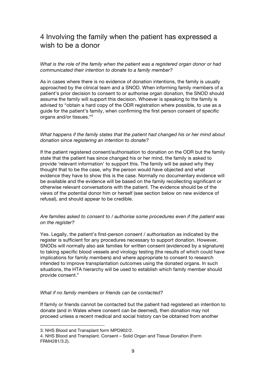# 4 Involving the family when the patient has expressed a wish to be a donor

*What is the role of the family when the patient was a registered organ donor or had communicated their intention to donate to a family member?*

As in cases where there is no evidence of donation intentions, the family is usually approached by the clinical team and a SNOD. When informing family members of a patient's prior decision to consent to or authorise organ donation, the SNOD should assume the family will support this decision. Whoever is speaking to the family is advised to "obtain a hard copy of the ODR registration where possible, to use as a guide for the patient's family, when confirming the first person consent of specific organs and/or tissues."3

#### *What happens if the family states that the patient had changed his or her mind about donation since registering an intention to donate?*

If the patient registered consent/authorisation to donation on the ODR but the family state that the patient has since changed his or her mind, the family is asked to provide 'relevant information' to support this. The family will be asked why they thought that to be the case, why the person would have objected and what evidence they have to show this is the case. Normally no documentary evidence will be available and the evidence will be based on the family recollecting significant or otherwise relevant conversations with the patient. The evidence should be of the views of the potential donor him or herself (see section below on new evidence of refusal), and should appear to be credible.

#### *Are families asked to consent to / authorise some procedures even if the patient was on the register?*

Yes. Legally, the patient's first-person consent / authorisation as indicated by the register is sufficient for any procedures necessary to support donation. However, SNODs will normally also ask families for written consent (evidenced by a signature) to taking specific blood vessels and virology testing (the results of which could have implications for family members) and where appropriate to consent to research intended to improve transplantation outcomes using the donated organs. In such situations, the HTA hierarchy will be used to establish which family member should provide consent. 4

#### *What if no family members or friends can be contacted?*

If family or friends cannot be contacted but the patient had registered an intention to donate (and in Wales where consent can be deemed), then donation may not proceed unless a recent medical and social history can be obtained from another

<sup>3.</sup> NHS Blood and Transplant form MPD902/2.

<sup>4.</sup> NHS Blood and Transplant. Consent – Solid Organ and Tissue Donation (Form FRM4281/3.2).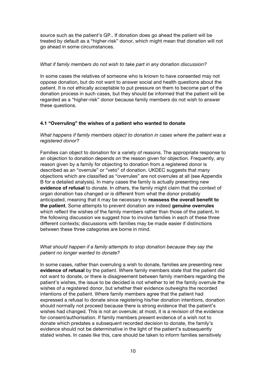source such as the patient's GP.. If donation does go ahead the patient will be treated by default as a "higher-risk" donor, which might mean that donation will not go ahead in some circumstances.

# *What if family members do not wish to take part in any donation discussion?*

In some cases the relatives of someone who is known to have consented may not oppose donation, but do not want to answer social and health questions about the patient. It is not ethically acceptable to put pressure on them to become part of the donation process in such cases, but they should be informed that the patient will be regarded as a "higher-risk" donor because family members do not wish to answer these questions.

# **4.1 "Overruling" the wishes of a patient who wanted to donate**

# *What happens if family members object to donation in cases where the patient was a registered donor?*

Families can object to donation for a variety of reasons. The appropriate response to an objection to donation depends on the reason given for objection. Frequently, any reason given by a family for objecting to donation from a registered donor is described as an "overrule" or "veto" of donation. UKDEC suggests that many objections which are classified as "overrules" are not overrules at all (see Appendix B for a detailed analysis). In many cases the family is actually presenting new **evidence of refusal** to donate. In others, the family might claim that the context of organ donation has changed or is different from what the donor probably anticipated, meaning that it may be necessary to **reassess the overall benefit to the patient**. Some attempts to prevent donation are indeed **genuine overrules** which reflect the wishes of the family members rather than those of the patient**.** In the following discussion we suggest how to involve families in each of these three different contexts; discussions with families may be made easier if distinctions between these three categories are borne in mind.

# *What should happen if a family attempts to stop donation because they say the patient no longer wanted to donate?*

In some cases, rather than overruling a wish to donate, families are presenting new **evidence of refusal** by the patient. Where family members state that the patient did not want to donate, or there is disagreement between family members regarding the patient's wishes, the issue to be decided is not whether to let the family overrule the wishes of a registered donor, but whether their evidence outweighs the recorded intentions of the patient. Where family members agree that the patient had expressed a refusal to donate since registering his/her donation intentions, donation should normally not proceed because there is strong evidence that the patient's wishes had changed. This is not an overrule; at most, it is a revision of the evidence for consent/authorisation. If family members present evidence of a wish not to donate which predates a subsequent recorded decision to donate, the family's evidence should not be determinative in the light of the patient's subsequently stated wishes. In cases like this, care should be taken to inform families sensitively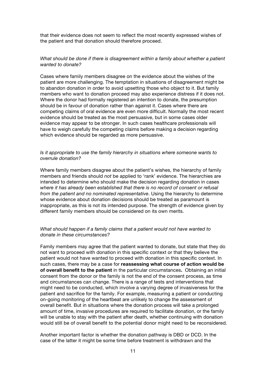that their evidence does not seem to reflect the most recently expressed wishes of the patient and that donation should therefore proceed.

#### *What should be done if there is disagreement within a family about whether a patient wanted to donate?*

Cases where family members disagree on the evidence about the wishes of the patient are more challenging. The temptation in situations of disagreement might be to abandon donation in order to avoid upsetting those who object to it. But family members who want to donation proceed may also experience distress if it does not. Where the donor had formally registered an intention to donate, the presumption should be in favour of donation rather than against it. Cases where there are competing claims of oral evidence are even more difficult. Normally the most recent evidence should be treated as the most persuasive, but in some cases older evidence may appear to be stronger. In such cases healthcare professionals will have to weigh carefully the competing claims before making a decision regarding which evidence should be regarded as more persuasive.

#### *Is it appropriate to use the family hierarchy in situations where someone wants to overrule donation?*

Where family members disagree about the patient's wishes, the hierarchy of family members and friends should *not* be applied to 'rank' evidence. The hierarchies are intended to determine who should make the decision regarding donation in cases *where it has already been established that there is no record of consent or refusal from the patient and no nominated representative*. Using the hierarchy to determine whose evidence about donation decisions should be treated as paramount is inappropriate, as this is not its intended purpose. The strength of evidence given by different family members should be considered on its own merits.

#### *What should happen if a family claims that a patient would not have wanted to donate in these circumstances?*

Family members may agree that the patient wanted to donate, but state that they do not want to proceed with donation in this specific context or that they believe the patient would not have wanted to proceed with donation in this specific context. In such cases, there may be a case for **reassessing what course of action would be of overall benefit to the patient** in the particular circumstances**.** Obtaining an initial consent from the donor or the family is not the end of the consent process, as time and circumstances can change. There is a range of tests and interventions that might need to be conducted, which involve a varying degree of invasiveness for the patient and sacrifice for the family. For example, measuring a patient or conducting on-going monitoring of the heartbeat are unlikely to change the assessment of overall benefit. But in situations where the donation process will take a prolonged amount of time, invasive procedures are required to facilitate donation, or the family will be unable to stay with the patient after death, whether continuing with donation would still be of overall benefit to the potential donor might need to be reconsidered.

Another important factor is whether the donation pathway is DBD or DCD. In the case of the latter it might be some time before treatment is withdrawn and the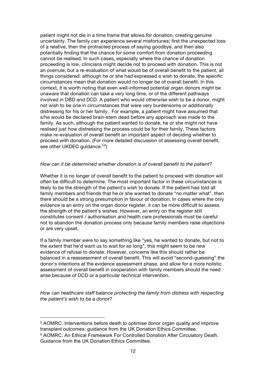patient might not die in a time frame that allows for donation, creating genuine uncertainty. The family can experience several misfortunes; first the unexpected loss of a relative, then the protracted process of saying goodbye, and then also potentially finding that the chance for some comfort from donation proceeding cannot be realised. In such cases, especially where the chance of donation proceeding is low, clinicians might decide not to proceed with donation. This is not an overrule, but a re-evaluation of what would be of overall benefit to the patient, all things considered: although he or she had expressed a wish to donate, the specific circumstances mean that donation would no longer be of overall benefit. In this context, it is worth noting that even well-informed potential organ donors might be unaware that donation can take a very long time, or of the different pathways involved in DBD and DCD. A patient who would otherwise wish to be a donor, might not wish to be one in circumstances that were very burdensome or additionally distressing for his or her family. For example, a patient might have assumed that s/he would be declared brain-stem dead before any approach was made to the family. As such, although the patient wanted to donate, he or she might not have realised just how distressing the process could be for their family. These factors make re-evaluation of overall benefit an important aspect of deciding whether to proceed with donation. (For more detailed discussion of assessing overall benefit, see other UKDEC guidance.<sup>5,6</sup>)

#### *How can it be determined whether donation is of overall benefit to the patient?*

Whether it is no longer of overall benefit to the patient to proceed with donation will often be difficult to determine. The most important factor in these circumstances is likely to be the strength of the patient's wish to donate. If the patient had told all family members and friends that he or she wanted to donate "no matter what", then there should be a strong presumption in favour of donation. In cases where the only evidence is an entry on the organ donor register, it can be more difficult to assess the strength of the patient's wishes. However, an entry on the register still constitutes consent / authorisation and health care professionals must be careful not to abandon the donation process only because family members raise objections or are very upset.

If a family member were to say something like "yes, he wanted to donate, but not to the extent that he'd want us to wait for so long", this might seem to be new evidence of refusal to donate. However, concerns like this should rather be balanced in a reassessment of overall benefit. This will avoid "second-guessing" the donor's intentions at the evidence assessment phase, and allow for a more holistic assessment of overall benefit in cooperation with family members should the need arise because of DCD or a particular technical intervention.

*How can healthcare staff balance protecting the family from distress with respecting the patient's wish to be a donor?*

<sup>5</sup> AOMRC. Interventions before death to optimise donor organ quality and improve transplant outcomes: guidance from the UK Donation Ethics Committee. <sup>6</sup> AOMRC. An Ethical Framework For Controlled Donation After Circulatory Death. Guidance from the UK Donation Ethics Committee.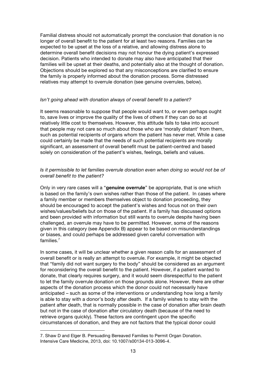Familial distress should not automatically prompt the conclusion that donation is no longer of overall benefit to the patient for at least two reasons. Families can be expected to be upset at the loss of a relative, and allowing distress alone to determine overall benefit decisions may not honour the dying patient's expressed decision. Patients who intended to donate may also have anticipated that their families will be upset at their deaths, and potentially also at the thought of donation. Objections should be explored so that any misconceptions are clarified to ensure the family is properly informed about the donation process. Some distressed relatives may attempt to overrule donation (see genuine overrules, below).

#### *Isn't going ahead with donation always of overall benefit to a patient?*

It seems reasonable to suppose that people would want to, or even perhaps ought to, save lives or improve the quality of the lives of others if they can do so at relatively little cost to themselves. However, this attitude fails to take into account that people may not care so much about those who are 'morally distant' from them, such as potential recipients of organs whom the patient has never met. While a case could certainly be made that the needs of such potential recipients are morally significant, an assessment of overall benefit must be patient-centred and based solely on consideration of the patient's wishes, feelings, beliefs and values.

## *Is it permissible to let families overrule donation even when doing so would not be of overall benefit to the patient?*

Only in very rare cases will a "**genuine overrule**" be appropriate, that is one which is based on the family's own wishes rather than those of the patient. In cases where a family member or members themselves object to donation proceeding, they should be encouraged to accept the patient's wishes and focus not on their own wishes/values/beliefs but on those of the patient. If a family has discussed options and been provided with information but still wants to overrule despite having been challenged, an overrule may have to be permitted. However, some of the reasons given in this category (see Appendix B) appear to be based on misunderstandings or biases, and could perhaps be addressed given careful conversation with families.7

In some cases, it will be unclear whether a given reason calls for an assessment of overall benefit or is really an attempt to overrule. For example, it might be objected that "family did not want surgery to the body" should be considered as an argument for reconsidering the overall benefit to the patient. However, if a patient wanted to donate, that clearly requires surgery, and it would seem disrespectful to the patient to let the family overrule donation on those grounds alone. However, there are other aspects of the donation process which the donor could not necessarily have anticipated – such as some of the interventions or understanding how long a family is able to stay with a donor's body after death. If a family wishes to stay with the patient after death, that is normally possible in the case of donation after brain death but not in the case of donation after circulatory death (because of the need to retrieve organs quickly). These factors are contingent upon the specific circumstances of donation, and they are not factors that the typical donor could

<sup>7.</sup> Shaw D and Elger B. Persuading Bereaved Families to Permit Organ Donation. Intensive Care Medicine, 2013, doi: 10.1007/s00134-013-3096-4.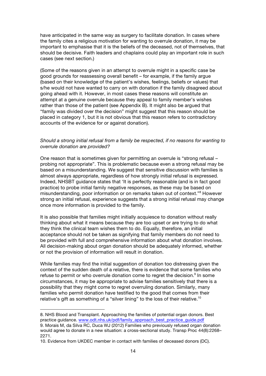have anticipated in the same way as surgery to facilitate donation. In cases where the family cites a religious motivation for wanting to overrule donation, it may be important to emphasise that it is the beliefs of the deceased, not of themselves, that should be decisive. Faith leaders and chaplains could play an important role in such cases (see next section.)

(Some of the reasons given in an attempt to overrule might in a specific case be good grounds for reassessing overall benefit – for example, if the family argue (based on their knowledge of the patient's wishes, feelings, beliefs or values) that s/he would not have wanted to carry on with donation if the family disagreed about going ahead with it. However, in most cases these reasons will constitute an attempt at a genuine overrule because they appeal to family member's wishes rather than those of the patient (see Appendix B). It might also be argued that "family was divided over the decision" might suggest that this reason should be placed in category 1, but it is not obvious that this reason refers to contradictory accounts of the evidence for or against donation).

#### *Should a strong initial refusal from a family be respected, if no reasons for wanting to overrule donation are provided?*

One reason that is sometimes given for permitting an overrule is "strong refusal – probing not appropriate". This is problematic because even a strong refusal may be based on a misunderstanding. We suggest that sensitive discussion with families is almost always appropriate, regardless of how strongly initial refusal is expressed. Indeed, NHSBT guidance states that 'It is perfectly reasonable (and is in fact good practice) to probe initial family negative responses, as these may be based on misunderstanding, poor information or on remarks taken out of context."8 However strong an initial refusal, experience suggests that a strong initial refusal may change once more information is provided to the family.

It is also possible that families might initially acquiesce to donation without really thinking about what it means because they are too upset or are trying to do what they think the clinical team wishes them to do. Equally, therefore, an initial acceptance should not be taken as signifying that family members do not need to be provided with full and comprehensive information about what donation involves. All decision-making about organ donation should be adequately informed, whether or not the provision of information will result in donation.

While families may find the initial suggestion of donation too distressing given the context of the sudden death of a relative, there is evidence that some families who refuse to permit or who overrule donation come to regret the decision.<sup>9</sup> In some circumstances, it may be appropriate to advise families sensitively that there is a possibility that they might come to regret overruling donation. Similarly, many families who permit donation have testified to the good that comes from their relative's gift as something of a "silver lining" to the loss of their relative.<sup>10</sup>

<sup>8.</sup> NHS Blood and Transplant. Approaching the families of potential organ donors. Best practice guidance. www.odt.nhs.uk/pdf/family\_approach\_best\_practice\_guide.pdf

<sup>9.</sup> Morais M, da Silva RC, Duca WJ (2012) Families who previously refused organ donation would agree to donate in a new situation: a cross-sectional study. Transp Proc 44(8):2268– 2271.

<sup>10.</sup> Evidence from UKDEC member in contact with families of deceased donors (DC).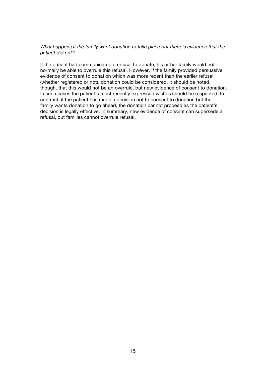# *What happens if the family want donation to take place but there is evidence that the patient did not?*

If the patient had communicated a refusal to donate, his or her family would not normally be able to overrule this refusal. However, if the family provided persuasive evidence of consent to donation which was more recent than the earlier refusal (whether registered or not), donation could be considered. It should be noted, though, that this would not be an overrule, but new evidence of consent to donation. In such cases the patient's most recently expressed wishes should be respected. In contrast, if the patient has made a decision not to consent to donation but the family wants donation to go ahead, the donation cannot proceed as the patient's decision is legally effective. In summary, new evidence of consent can supersede a refusal, but families cannot overrule refusal.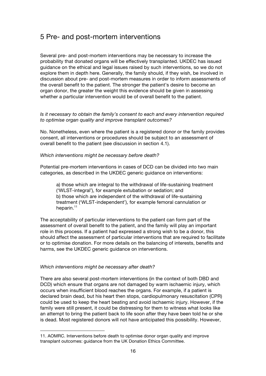# 5 Pre- and post-mortem interventions

Several pre- and post-mortem interventions may be necessary to increase the probability that donated organs will be effectively transplanted. UKDEC has issued guidance on the ethical and legal issues raised by such interventions, so we do not explore them in depth here. Generally, the family should, if they wish, be involved in discussion about pre- and post-mortem measures in order to inform assessments of the overall benefit to the patient. The stronger the patient's desire to become an organ donor, the greater the weight this evidence should be given in assessing whether a particular intervention would be of overall benefit to the patient.

# *Is it necessary to obtain the family's consent to each and every intervention required to optimise organ quality and improve transplant outcomes?*

No. Nonetheless, even where the patient is a registered donor or the family provides consent, all interventions or procedures should be subject to an assessment of overall benefit to the patient (see discussion in section 4.1).

#### *Which interventions might be necessary before death?*

Potential pre-mortem interventions in cases of DCD can be divided into two main categories, as described in the UKDEC generic guidance on interventions:

a) those which are integral to the withdrawal of life-sustaining treatment ('WLST-integral'), for example extubation or sedation; and b) those which are independent of the withdrawal of life-sustaining treatment ('WLST-independent'), for example femoral cannulation or heparin. $11$ 

The acceptability of particular interventions to the patient can form part of the assessment of overall benefit to the patient, and the family will play an important role in this process. If a patient had expressed a strong wish to be a donor, this should affect the assessment of particular interventions that are required to facilitate or to optimise donation. For more details on the balancing of interests, benefits and harms, see the UKDEC generic guidance on interventions.

# *Which interventions might be necessary after death?*

 

There are also several post-mortem interventions (in the context of both DBD and DCD) which ensure that organs are not damaged by warm ischaemic injury, which occurs when insufficient blood reaches the organs. For example, if a patient is declared brain dead, but his heart then stops, cardiopulmonary resuscitation (CPR) could be used to keep the heart beating and avoid ischaemic injury. However, if the family were still present, it could be distressing for them to witness what looks like an attempt to bring the patient back to life soon after they have been told he or she is dead. Most registered donors will not have anticipated this possibility. However,

<sup>11.</sup> AOMRC. Interventions before death to optimise donor organ quality and improve transplant outcomes: guidance from the UK Donation Ethics Committee.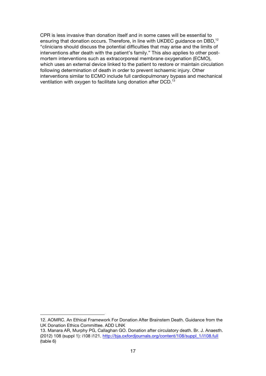CPR is less invasive than donation itself and in some cases will be essential to ensuring that donation occurs. Therefore, in line with UKDEC guidance on DBD,<sup>12</sup> "clinicians should discuss the potential difficulties that may arise and the limits of interventions after death with the patient's family." This also applies to other postmortem interventions such as extracorporeal membrane oxygenation (ECMO), which uses an external device linked to the patient to restore or maintain circulation following determination of death in order to prevent ischaemic injury. Other interventions similar to ECMO include full cardiopulmonary bypass and mechanical ventilation with oxygen to facilitate lung donation after DCD.<sup>13</sup>

<sup>12.</sup> AOMRC. An Ethical Framework For Donation After Brainstem Death. Guidance from the UK Donation Ethics Committee. ADD LINK

<sup>13.</sup> Manara AR, Murphy PG, Callaghan GO. Donation after circulatory death. Br. J. Anaesth. (2012) 108 (suppl 1): i108 i121. http://bja.oxfordjournals.org/content/108/suppl\_1/i108.full (table 6)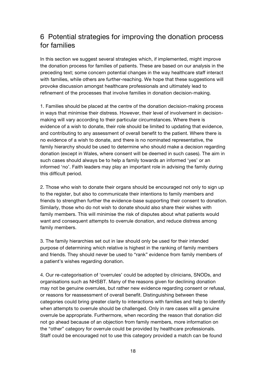# 6 Potential strategies for improving the donation process for families

In this section we suggest several strategies which, if implemented, might improve the donation process for families of patients. These are based on our analysis in the preceding text; some concern potential changes in the way healthcare staff interact with families, while others are further-reaching. We hope that these suggestions will provoke discussion amongst healthcare professionals and ultimately lead to refinement of the processes that involve families in donation decision-making.

1. Families should be placed at the centre of the donation decision-making process in ways that minimise their distress. However, their level of involvement in decisionmaking will vary according to their particular circumstances. Where there is evidence of a wish to donate, their role should be limited to updating that evidence, and contributing to any assessment of overall benefit to the patient. Where there is no evidence of a wish to donate, and there is no nominated representative, the family hierarchy should be used to determine who should make a decision regarding donation (except in Wales, where consent will be deemed in such cases). The aim in such cases should always be to help a family towards an informed 'yes' or an informed 'no'. Faith leaders may play an important role in advising the family during this difficult period.

2. Those who wish to donate their organs should be encouraged not only to sign up to the register, but also to communicate their intentions to family members and friends to strengthen further the evidence-base supporting their consent to donation. Similarly, those who do not wish to donate should also share their wishes with family members. This will minimise the risk of disputes about what patients would want and consequent attempts to overrule donation, and reduce distress among family members.

3. The family hierarchies set out in law should only be used for their intended purpose of determining which relative is highest in the ranking of family members and friends. They should never be used to "rank" evidence from family members of a patient's wishes regarding donation.

4. Our re-categorisation of 'overrules' could be adopted by clinicians, SNODs, and organisations such as NHSBT. Many of the reasons given for declining donation may not be genuine overrules, but rather new evidence regarding consent or refusal, or reasons for reassessment of overall benefit. Distinguishing between these categories could bring greater clarity to interactions with families and help to identify when attempts to overrule should be challenged. Only in rare cases will a genuine overrule be appropriate. Furthermore, when recording the reason that donation did not go ahead because of an objection from family members, more information on the "other" category for overrule could be provided by healthcare professionals. Staff could be encouraged not to use this category provided a match can be found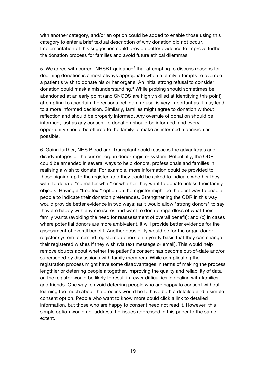with another category, and/or an option could be added to enable those using this category to enter a brief textual description of why donation did not occur. Implementation of this suggestion could provide better evidence to improve further the donation process for families and avoid future ethical dilemmas.

5. We agree with current NHSBT guidance<sup>8</sup> that attempting to discuss reasons for declining donation is almost always appropriate when a family attempts to overrule a patient's wish to donate his or her organs. An initial strong refusal to consider donation could mask a misunderstanding.<sup>8</sup> While probing should sometimes be abandoned at an early point (and SNODS are highly skilled at identifying this point) attempting to ascertain the reasons behind a refusal is very important as it may lead to a more informed decision. Similarly, families might agree to donation without reflection and should be properly informed. Any overrule of donation should be informed, just as any consent to donation should be informed, and every opportunity should be offered to the family to make as informed a decision as possible.

6. Going further, NHS Blood and Transplant could reassess the advantages and disadvantages of the current organ donor register system. Potentially, the ODR could be amended in several ways to help donors, professionals and families in realising a wish to donate. For example, more information could be provided to those signing up to the register, and they could be asked to indicate whether they want to donate "no matter what" or whether they want to donate unless their family objects. Having a "free text" option on the register might be the best way to enable people to indicate their donation preferences. Strengthening the ODR in this way would provide better evidence in two ways: (a) it would allow "strong donors" to say they are happy with any measures and want to donate regardless of what their family wants (avoiding the need for reassessment of overall benefit); and (b) in cases where potential donors are more ambivalent, it will provide better evidence for the assessment of overall benefit. Another possibility would be for the organ donor register system to remind registered donors on a yearly basis that they can change their registered wishes if they wish (via text message or email). This would help remove doubts about whether the patient's consent has become out-of-date and/or superseded by discussions with family members. While complicating the registration process might have some disadvantages in terms of making the process lengthier or deterring people altogether, improving the quality and reliability of data on the register would be likely to result in fewer difficulties in dealing with families and friends. One way to avoid deterring people who are happy to consent without learning too much about the process would be to have both a detailed and a simple consent option. People who want to know more could click a link to detailed information, but those who are happy to consent need not read it. However, this simple option would not address the issues addressed in this paper to the same extent.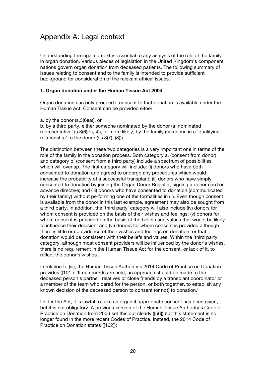# Appendix A: Legal context

Understanding the legal context is essential to any analysis of the role of the family in organ donation. Various pieces of legislation in the United Kingdom's component nations govern organ donation from deceased patients. The following summary of issues relating to consent and to the family is intended to provide sufficient background for consideration of the relevant ethical issues.

# **1. Organ donation under the Human Tissue Act 2004**

Organ donation can only proceed if consent to that donation is available under the Human Tissue Act. Consent can be provided either:

a. by the donor (s.3(6)(a)), or

b. by a third party, either someone nominated by the donor (a 'nominated representative' (s.3(6)(b), 4)), or more likely, by the family (someone in a 'qualifying relationship' to the donor (ss.3(7), (8))).

The distinction between these two categories is a very important one in terms of the role of the family in the donation process. Both category a. (consent from donor) and category b. (consent from a third party) include a spectrum of possibilities which will overlap. The first category will include: (i) donors who have both consented to donation and agreed to undergo any procedures which would increase the probability of a successful transplant; (ii) donors who have simply consented to donation by joining the Organ Donor Register, signing a donor card or advance directive; and (iii) donors who have consented to donation (communicated by their family) without performing one of the formalities in (ii). Even though consent is available from the donor in this last example, agreement may also be sought from a third party. In addition, the 'third party' category will also include (iv) donors for whom consent is provided on the basis of their wishes and feelings; (v) donors for whom consent is provided on the basis of the beliefs and values that would be likely to influence their decision; and (vi) donors for whom consent is provided although there is little or no evidence of their wishes and feelings on donation, or that donation would be consistent with their beliefs and values. Within the 'third party' category, although most consent providers will be influenced by the donor's wishes, there is no requirement in the Human Tissue Act for the consent, or lack of it, to reflect the donor's wishes.

In relation to (iii), the Human Tissue Authority's 2014 Code of Practice on Donation provides ([101]): 'If no records are held, an approach should be made to the deceased person's partner, relatives or close friends by a transplant coordinator or a member of the team who cared for the person, or both together, to establish any known decision of the deceased person to consent (or not) to donation.'

Under the Act, it is lawful to take an organ if appropriate consent has been given, but it is not obligatory. A previous version of the Human Tissue Authority's Code of Practice on Donation from 2006 set this out clearly ([56]) but this statement is no longer found in the more recent Codes of Practice. Instead, the 2014 Code of Practice on Donation states ([102]):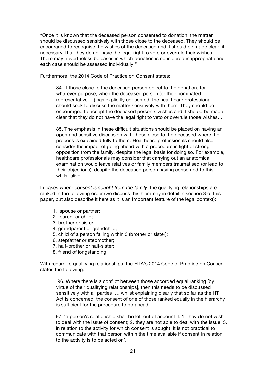"Once it is known that the deceased person consented to donation, the matter should be discussed sensitively with those close to the deceased. They should be encouraged to recognise the wishes of the deceased and it should be made clear, if necessary, that they do not have the legal right to veto or overrule their wishes. There may nevertheless be cases in which donation is considered inappropriate and each case should be assessed individually."

Furthermore, the 2014 Code of Practice on Consent states:

84. If those close to the deceased person object to the donation, for whatever purpose, when the deceased person (or their nominated representative …) has explicitly consented, the healthcare professional should seek to discuss the matter sensitively with them. They should be encouraged to accept the deceased person's wishes and it should be made clear that they do not have the legal right to veto or overrule those wishes…

85. The emphasis in these difficult situations should be placed on having an open and sensitive discussion with those close to the deceased where the process is explained fully to them. Healthcare professionals should also consider the impact of going ahead with a procedure in light of strong opposition from the family, despite the legal basis for doing so. For example, healthcare professionals may consider that carrying out an anatomical examination would leave relatives or family members traumatised (or lead to their objections), despite the deceased person having consented to this whilst alive.

In cases where *consent is sought from the family*, the qualifying relationships are ranked in the following order (we discuss this hierarchy in detail in section 3 of this paper, but also describe it here as it is an important feature of the legal context):

- 1. spouse or partner;
- 2. parent or child;
- 3. brother or sister;
- 4. grandparent or grandchild;
- 5. child of a person falling within 3 (brother or sister);
- 6. stepfather or stepmother;
- 7. half-brother or half-sister;
- 8. friend of longstanding.

With regard to qualifying relationships, the HTA's 2014 Code of Practice on Consent states the following:

96. Where there is a conflict between those accorded equal ranking [by virtue of their qualifying relationships], then this needs to be discussed sensitively with all parties …, whilst explaining clearly that so far as the HT Act is concerned, the consent of one of those ranked equally in the hierarchy is sufficient for the procedure to go ahead.

97. 'a person's relationship shall be left out of account if: 1. they do not wish to deal with the issue of consent; 2. they are not able to deal with the issue; 3. in relation to the activity for which consent is sought, it is not practical to communicate with that person within the time available if consent in relation to the activity is to be acted on'.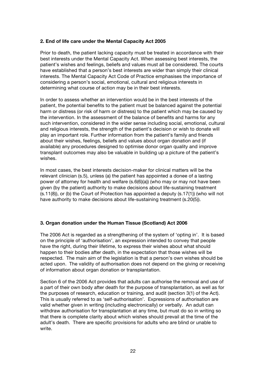### **2. End of life care under the Mental Capacity Act 2005**

Prior to death, the patient lacking capacity must be treated in accordance with their best interests under the Mental Capacity Act. When assessing best interests, the patient's wishes and feelings, beliefs and values must all be considered. The courts have established that a person's best interests are wider than simply their clinical interests. The Mental Capacity Act Code of Practice emphasises the importance of considering a person's social, emotional, cultural and religious interests in determining what course of action may be in their best interests.

In order to assess whether an intervention would be in the best interests of the patient, the potential benefits to the patient must be balanced against the potential harm or distress (or risk of harm or distress) to the patient which may be caused by the intervention. In the assessment of the balance of benefits and harms for any such intervention, considered in the wider sense including social, emotional, cultural and religious interests, the strength of the patient's decision or wish to donate will play an important role. Further information from the patient's family and friends about their wishes, feelings, beliefs and values about organ donation and (if available) any procedures designed to optimise donor organ quality and improve transplant outcomes may also be valuable in building up a picture of the patient's wishes.

In most cases, the best interests decision-maker for clinical matters will be the relevant clinician (s.5), unless (a) the patient has appointed a donee of a lasting power of attorney for health and welfare  $(s.6(6)(a))$  (who may or may not have been given (by the patient) authority to make decisions about life-sustaining treatment  $(s.11(8))$ , or (b) the Court of Protection has appointed a deputy  $(s.17(1))$  (who will not have authority to make decisions about life-sustaining treatment (s.20(5)).

# **3. Organ donation under the Human Tissue (Scotland) Act 2006**

The 2006 Act is regarded as a strengthening of the system of 'opting in'. It is based on the principle of 'authorisation', an expression intended to convey that people have the right, during their lifetime, to express their wishes about what should happen to their bodies after death, in the expectation that those wishes will be respected. The main aim of the legislation is that a person's own wishes should be acted upon. The validity of authorisation does not depend on the giving or receiving of information about organ donation or transplantation.

Section 6 of the 2006 Act provides that adults can authorise the removal and use of a part of their own body after death for the purpose of transplantation, as well as for the purposes of research, education or training, and audit (section 3(1) of the Act). This is usually referred to as 'self-authorisation'. Expressions of authorisation are valid whether given in writing (including electronically) or verbally. An adult can withdraw authorisation for transplantation at any time, but must do so in writing so that there is complete clarity about which wishes should prevail at the time of the adult's death. There are specific provisions for adults who are blind or unable to write.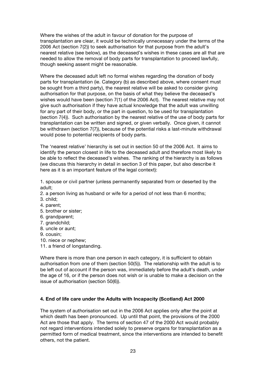Where the wishes of the adult in favour of donation for the purpose of transplantation are clear, it would be technically unnecessary under the terms of the 2006 Act (section 7(2)) to seek authorisation for that purpose from the adult's nearest relative (see below), as the deceased's wishes in these cases are all that are needed to allow the removal of body parts for transplantation to proceed lawfully, though seeking assent might be reasonable.

Where the deceased adult left no formal wishes regarding the donation of body parts for transplantation (ie. Category (b) as described above, where consent must be sought from a third party), the nearest relative will be asked to consider giving authorisation for that purpose, on the basis of what they believe the deceased's wishes would have been (section 7(1) of the 2006 Act). The nearest relative may not give such authorisation if they have actual knowledge that the adult was unwilling for any part of their body, or the part in question, to be used for transplantation (section 7(4)). Such authorisation by the nearest relative of the use of body parts for transplantation can be written and signed, or given verbally. Once given, it cannot be withdrawn (section 7(7)), because of the potential risks a last-minute withdrawal would pose to potential recipients of body parts.

The 'nearest relative' hierarchy is set out in section 50 of the 2006 Act. It aims to identify the person closest in life to the deceased adult and therefore most likely to be able to reflect the deceased's wishes. The ranking of the hierarchy is as follows (we discuss this hierarchy in detail in section 3 of this paper, but also describe it here as it is an important feature of the legal context):

1. spouse or civil partner (unless permanently separated from or deserted by the adult;

- 2. a person living as husband or wife for a period of not less than 6 months;
- 3. child;
- 4. parent;
- 5. brother or sister;
- 6. grandparent;
- 7. grandchild:
- 8. uncle or aunt;
- 9. cousin;
- 10. niece or nephew;
- 11. a friend of longstanding.

Where there is more than one person in each category, it is sufficient to obtain authorisation from one of them (section 50(5)). The relationship with the adult is to be left out of account if the person was, immediately before the adult's death, under the age of 16, or if the person does not wish or is unable to make a decision on the issue of authorisation (section 50(6)).

# **4. End of life care under the Adults with Incapacity (Scotland) Act 2000**

The system of authorisation set out in the 2006 Act applies only after the point at which death has been pronounced. Up until that point, the provisions of the 2000 Act are those that apply. The terms of section 47 of the 2000 Act would probably not regard interventions intended solely to preserve organs for transplantation as a permitted form of medical treatment, since the interventions are intended to benefit others, not the patient.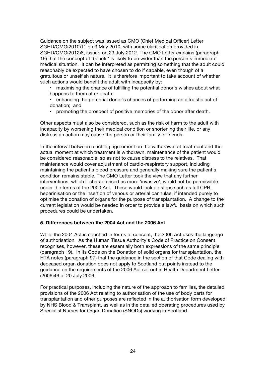Guidance on the subject was issued as CMO (Chief Medical Officer) Letter SGHD/CMO(2010)11 on 3 May 2010, with some clarification provided in SGHD/CMO(2012)8, issued on 23 July 2012. The CMO Letter explains (paragraph 19) that the concept of 'benefit' is likely to be wider than the person's immediate medical situation. It can be interpreted as permitting something that the adult could reasonably be expected to have chosen to do if capable, even though of a gratuitous or unselfish nature. It is therefore important to take account of whether such actions would benefit the adult with incapacity by:

- maximising the chance of fulfilling the potential donor's wishes about what happens to them after death;
- enhancing the potential donor's chances of performing an altruistic act of donation; and
- promoting the prospect of positive memories of the donor after death.

Other aspects must also be considered, such as the risk of harm to the adult with incapacity by worsening their medical condition or shortening their life, or any distress an action may cause the person or their family or friends.

In the interval between reaching agreement on the withdrawal of treatment and the actual moment at which treatment is withdrawn, maintenance of the patient would be considered reasonable, so as not to cause distress to the relatives. That maintenance would cover adjustment of cardio-respiratory support, including maintaining the patient's blood pressure and generally making sure the patient's condition remains stable. The CMO Letter took the view that any further interventions, which it characterised as more 'invasive', would not be permissible under the terms of the 2000 Act. These would include steps such as full CPR, heparinisation or the insertion of venous or arterial cannulae, if intended purely to optimise the donation of organs for the purpose of transplantation. A change to the current legislation would be needed in order to provide a lawful basis on which such procedures could be undertaken.

# **5. Differences between the 2004 Act and the 2006 Act**

While the 2004 Act is couched in terms of consent, the 2006 Act uses the language of authorisation. As the Human Tissue Authority's Code of Practice on Consent recognises, however, these are essentially both expressions of the same principle (paragraph 19). In its Code on the Donation of solid organs for transplantation, the HTA notes (paragraph 97) that the guidance in the section of that Code dealing with deceased organ donation does not apply to Scotland but points instead to the guidance on the requirements of the 2006 Act set out in Health Department Letter (2006)46 of 20 July 2006.

For practical purposes, including the nature of the approach to families, the detailed provisions of the 2006 Act relating to authorisation of the use of body parts for transplantation and other purposes are reflected in the authorisation form developed by NHS Blood & Transplant, as well as in the detailed operating procedures used by Specialist Nurses for Organ Donation (SNODs) working in Scotland.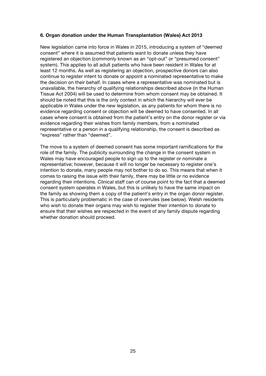#### **6. Organ donation under the Human Transplantation (Wales) Act 2013**

New legislation came into force in Wales in 2015, introducing a system of "deemed consent" where it is assumed that patients want to donate unless they have registered an objection (commonly known as an "opt-out" or "presumed consent" system). This applies to all adult patients who have been resident in Wales for at least 12 months. As well as registering an objection, prospective donors can also continue to register intent to donate or appoint a nominated representative to make the decision on their behalf. In cases where a representative was nominated but is unavailable, the hierarchy of qualifying relationships described above (in the Human Tissue Act 2004) will be used to determine from whom consent may be obtained. It should be noted that this is the only context in which the hierarchy will ever be applicable in Wales under the new legislation, as any patients for whom there is no evidence regarding consent or objection will be deemed to have consented. In all cases where consent is obtained from the patient's entry on the donor register or via evidence regarding their wishes from family members, from a nominated representative or a person in a qualifying relationship, the consent is described as "express" rather than "deemed".

The move to a system of deemed consent has some important ramifications for the role of the family. The publicity surrounding the change in the consent system in Wales may have encouraged people to sign up to the register or nominate a representative; however, because it will no longer be necessary to register one's intention to donate, many people may not bother to do so. This means that when it comes to raising the issue with their family, there may be little or no evidence regarding their intentions. Clinical staff can of course point to the fact that a deemed consent system operates in Wales, but this is unlikely to have the same impact on the family as showing them a copy of the patient's entry in the organ donor register. This is particularly problematic in the case of overrules (see below). Welsh residents who wish to donate their organs may wish to register their intention to donate to ensure that their wishes are respected in the event of any family dispute regarding whether donation should proceed.